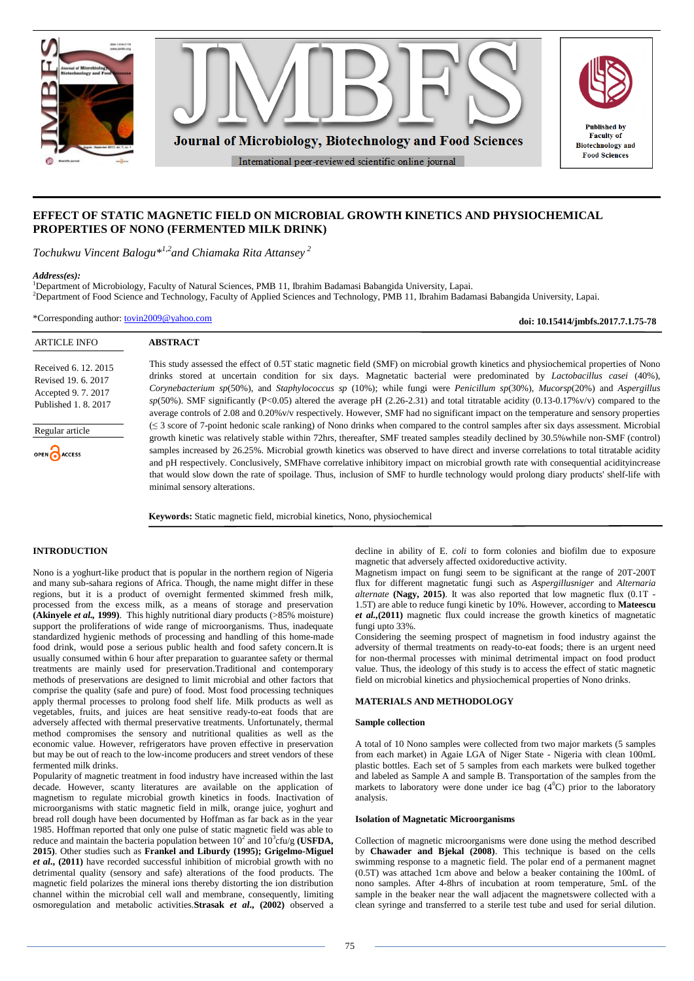

# **EFFECT OF STATIC MAGNETIC FIELD ON MICROBIAL GROWTH KINETICS AND PHYSIOCHEMICAL PROPERTIES OF NONO (FERMENTED MILK DRINK)**

*Tochukwu Vincent Balogu\*1,2and Chiamaka Rita Attansey <sup>2</sup>*

### *Address(es):*

<sup>1</sup>Department of Microbiology, Faculty of Natural Sciences, PMB 11, Ibrahim Badamasi Babangida University, Lapai. <sup>2</sup>Department of Food Science and Technology, Faculty of Applied Sciences and Technology, PMB 11, Ibrahim Badamasi Babangida University, Lapai.

\*Corresponding author: [tovin2009@yahoo.com](mailto:tovin2009@yahoo.com)

**doi: 10.15414/jmbfs.2017.7.1.75-78**

| <b>ARTICLE INFO</b>                                                                      | <b>ABSTRACT</b>                                                                                                                                                                                                                                                                                                                                                                                                                                                                                                                                                                                                                                                                                                                                 |
|------------------------------------------------------------------------------------------|-------------------------------------------------------------------------------------------------------------------------------------------------------------------------------------------------------------------------------------------------------------------------------------------------------------------------------------------------------------------------------------------------------------------------------------------------------------------------------------------------------------------------------------------------------------------------------------------------------------------------------------------------------------------------------------------------------------------------------------------------|
| Received 6. 12. 2015<br>Revised 19, 6, 2017<br>Accepted 9.7.2017<br>Published 1, 8, 2017 | This study assessed the effect of 0.5T static magnetic field (SMF) on microbial growth kinetics and physiochemical properties of Nono<br>drinks stored at uncertain condition for six days. Magnetatic bacterial were predominated by <i>Lactobacillus casei</i> (40%),<br>Corynebacterium sp(50%), and Staphylococcus sp (10%); while fungi were Penicillum sp(30%), Mucorsp(20%) and Aspergillus<br>$sp(50\%)$ . SMF significantly (P<0.05) altered the average pH (2.26-2.31) and total titratable acidity (0.13-0.17%v/v) compared to the<br>average controls of 2.08 and 0.20% v/v respectively. However, SMF had no significant impact on the temperature and sensory properties                                                          |
| Regular article<br>OPEN ACCESS                                                           | $(\leq 3$ score of 7-point hedonic scale ranking) of Nono drinks when compared to the control samples after six days assessment. Microbial<br>growth kinetic was relatively stable within 72hrs, thereafter, SMF treated samples steadily declined by 30.5% while non-SMF (control)<br>samples increased by 26.25%. Microbial growth kinetics was observed to have direct and inverse correlations to total titratable acidity<br>and pH respectively. Conclusively, SMFhave correlative inhibitory impact on microbial growth rate with consequential acidity increase<br>that would slow down the rate of spoilage. Thus, inclusion of SMF to hurdle technology would prolong diary products' shelf-life with<br>minimal sensory alterations. |
|                                                                                          | <b>Keywords:</b> Static magnetic field, microbial kinetics, Nono, physiochemical                                                                                                                                                                                                                                                                                                                                                                                                                                                                                                                                                                                                                                                                |

### **INTRODUCTION**

Nono is a yoghurt-like product that is popular in the northern region of Nigeria and many sub-sahara regions of Africa. Though, the name might differ in these regions, but it is a product of overnight fermented skimmed fresh milk, processed from the excess milk, as a means of storage and preservation **(Akinyele** *et al.,* **1999)**. This highly nutritional diary products (>85% moisture) support the proliferations of wide range of microorganisms. Thus, inadequate standardized hygienic methods of processing and handling of this home-made food drink, would pose a serious public health and food safety concern.It is usually consumed within 6 hour after preparation to guarantee safety or thermal treatments are mainly used for preservation.Traditional and contemporary methods of preservations are designed to limit microbial and other factors that comprise the quality (safe and pure) of food. Most food processing techniques apply thermal processes to prolong food shelf life. Milk products as well as vegetables, fruits, and juices are heat sensitive ready-to-eat foods that are adversely affected with thermal preservative treatments. Unfortunately, thermal method compromises the sensory and nutritional qualities as well as the economic value. However, refrigerators have proven effective in preservation but may be out of reach to the low-income producers and street vendors of these fermented milk drinks.

Popularity of magnetic treatment in food industry have increased within the last decade. However, scanty literatures are available on the application of magnetism to regulate microbial growth kinetics in foods. Inactivation of microorganisms with static magnetic field in milk, orange juice, yoghurt and bread roll dough have been documented by Hoffman as far back as in the year 1985. Hoffman reported that only one pulse of static magnetic field was able to reduce and maintain the bacteria population between  $10^2$  and  $10^3$ cfu/g **(USFDA**, **2015)**. Other studies such as **Frankel and Liburdy (1995); Grigelmo-Miguel** *et al***., (2011)** have recorded successful inhibition of microbial growth with no detrimental quality (sensory and safe) alterations of the food products. The magnetic field polarizes the mineral ions thereby distorting the ion distribution channel within the microbial cell wall and membrane, consequently, limiting osmoregulation and metabolic activities.**Strasak** *et al***., (2002)** observed a

decline in ability of E. *coli* to form colonies and biofilm due to exposure magnetic that adversely affected oxidoreductive activity.

Magnetism impact on fungi seem to be significant at the range of 20T-200T flux for different magnetatic fungi such as *Aspergillusniger* and *Alternaria alternate* **(Nagy, 2015)**. It was also reported that low magnetic flux (0.1T - 1.5T) are able to reduce fungi kinetic by 10%. However, according to **Mateescu** *et al.,***(2011)** magnetic flux could increase the growth kinetics of magnetatic fungi upto 33%.

Considering the seeming prospect of magnetism in food industry against the adversity of thermal treatments on ready-to-eat foods; there is an urgent need for non-thermal processes with minimal detrimental impact on food product value. Thus, the ideology of this study is to access the effect of static magnetic field on microbial kinetics and physiochemical properties of Nono drinks.

# **MATERIALS AND METHODOLOGY**

### **Sample collection**

A total of 10 Nono samples were collected from two major markets (5 samples from each market) in Agaie LGA of Niger State - Nigeria with clean 100mL plastic bottles. Each set of 5 samples from each markets were bulked together and labeled as Sample A and sample B. Transportation of the samples from the markets to laboratory were done under ice bag  $(4^0C)$  prior to the laboratory analysis.

#### **Isolation of Magnetatic Microorganisms**

Collection of magnetic microorganisms were done using the method described by **Chawader and Bjekal (2008)**. This technique is based on the cells swimming response to a magnetic field. The polar end of a permanent magnet (0.5T) was attached 1cm above and below a beaker containing the 100mL of nono samples. After 4-8hrs of incubation at room temperature, 5mL of the sample in the beaker near the wall adjacent the magnetswere collected with a clean syringe and transferred to a sterile test tube and used for serial dilution.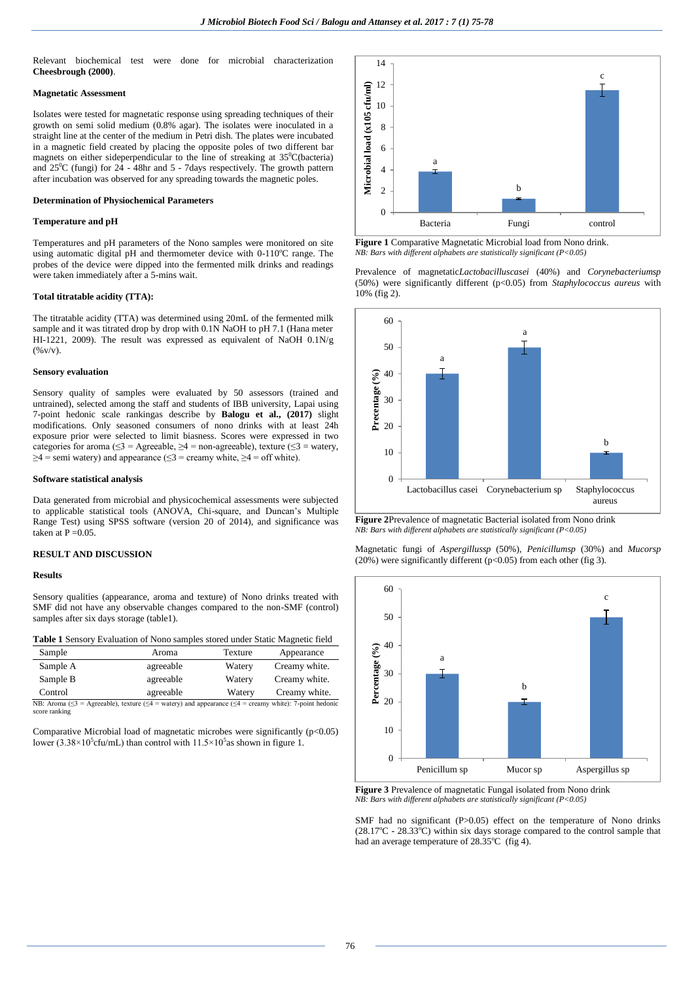Relevant biochemical test were done for microbial characterization **Cheesbrough (2000)**.

### **Magnetatic Assessment**

Isolates were tested for magnetatic response using spreading techniques of their growth on semi solid medium (0.8% agar). The isolates were inoculated in a straight line at the center of the medium in Petri dish. The plates were incubated in a magnetic field created by placing the opposite poles of two different bar magnets on either sideperpendicular to the line of streaking at  $35^{\circ}$ C(bacteria) and  $25^{\circ}$ C (fungi) for  $2\overline{4}$  - 48hr and 5 - 7days respectively. The growth pattern after incubation was observed for any spreading towards the magnetic poles.

# **Determination of Physiochemical Parameters**

# **Temperature and pH**

Temperatures and pH parameters of the Nono samples were monitored on site using automatic digital pH and thermometer device with  $0-110^{\circ}$ C range. The probes of the device were dipped into the fermented milk drinks and readings were taken immediately after a 5-mins wait.

#### **Total titratable acidity (TTA):**

The titratable acidity (TTA) was determined using 20mL of the fermented milk sample and it was titrated drop by drop with 0.1N NaOH to pH 7.1 (Hana meter HI-1221, 2009). The result was expressed as equivalent of NaOH 0.1N/g  $($ % v/v).

#### **Sensory evaluation**

Sensory quality of samples were evaluated by 50 assessors (trained and untrained), selected among the staff and students of IBB university, Lapai using 7-point hedonic scale rankingas describe by **Balogu et al., (2017)** slight modifications. Only seasoned consumers of nono drinks with at least 24h exposure prior were selected to limit biasness. Scores were expressed in two categories for aroma ( $\leq$ 3 = Agreeable,  $\geq$ 4 = non-agreeable), texture ( $\leq$ 3 = watery,  $\geq 4$  = semi watery) and appearance ( $\leq 3$  = creamy white,  $\geq 4$  = off white).

### **Software statistical analysis**

Data generated from microbial and physicochemical assessments were subjected to applicable statistical tools (ANOVA, Chi-square, and Duncan's Multiple Range Test) using SPSS software (version 20 of 2014), and significance was taken at  $P = 0.05$ .

# **RESULT AND DISCUSSION**

#### **Results**

Sensory qualities (appearance, aroma and texture) of Nono drinks treated with SMF did not have any observable changes compared to the non-SMF (control) samples after six days storage (table1).

| <b>Table 1</b> Sensory Evaluation of Nono samples stored under Static Magnetic field |  |  |  |  |  |  |
|--------------------------------------------------------------------------------------|--|--|--|--|--|--|
|--------------------------------------------------------------------------------------|--|--|--|--|--|--|

| Sample   | Aroma     | Texture | Appearance    |
|----------|-----------|---------|---------------|
| Sample A | agreeable | Watery  | Creamy white. |
| Sample B | agreeable | Watery  | Creamy white. |
| Control  | agreeable | Watery  | Creamy white. |

NB: Aroma ( $\leq$ 3 = Agreeable), texture ( $\leq$ 4 = watery) and appearance ( $\leq$ 4 = creamy white): 7-point hedonic score ranking

Comparative Microbial load of magnetatic microbes were significantly  $(p<0.05)$ lower (3.38×10<sup>5</sup>cfu/mL) than control with  $11.5 \times 10^5$  as shown in figure 1.



**Figure 1** Comparative Magnetatic Microbial load from Nono drink. *NB: Bars with different alphabets are statistically significant (P<0.05)*

Prevalence of magnetatic*Lactobacilluscasei* (40%) and *Corynebacteriumsp* (50%) were significantly different (p<0.05) from *Staphylococcus aureus* with 10% (fig 2).



**Figure 2**Prevalence of magnetatic Bacterial isolated from Nono drink *NB: Bars with different alphabets are statistically significant (P<0.05)*

Magnetatic fungi of *Aspergillussp* (50%), *Penicillumsp* (30%) and *Mucorsp* (20%) were significantly different (p<0.05) from each other (fig 3).



**Figure 3** Prevalence of magnetatic Fungal isolated from Nono drink *NB: Bars with different alphabets are statistically significant (P<0.05)* 

SMF had no significant (P>0.05) effect on the temperature of Nono drinks  $(28.17^{\circ}\text{C} - 28.33^{\circ}\text{C})$  within six days storage compared to the control sample that had an average temperature of  $28.35^{\circ}$ C (fig 4).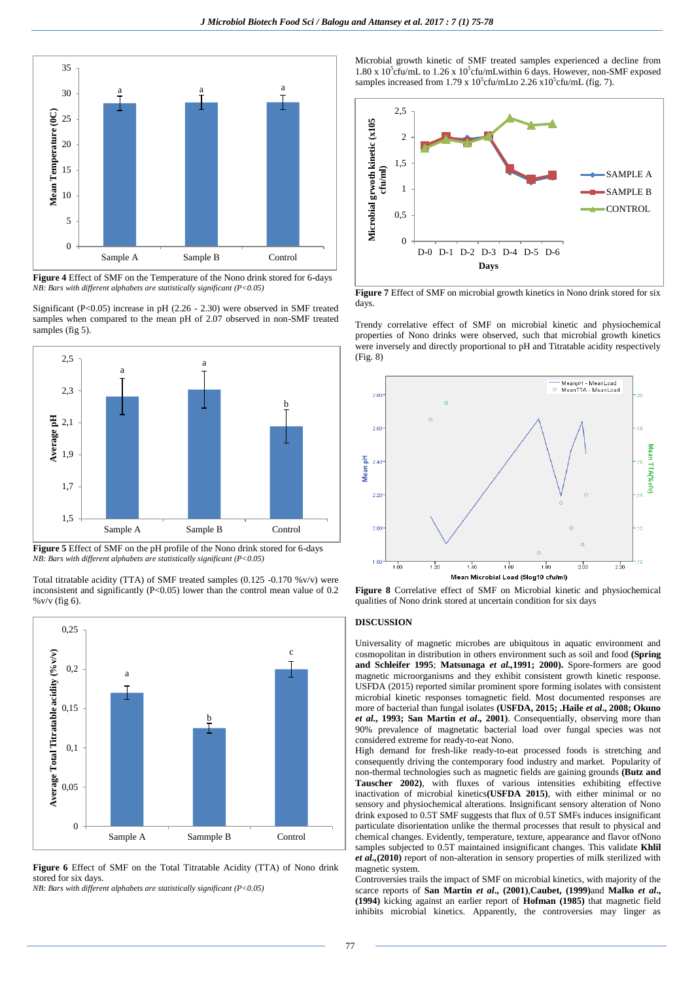

**Figure 4** Effect of SMF on the Temperature of the Nono drink stored for 6-days *NB: Bars with different alphabets are statistically significant (P<0.05)*

Significant (P<0.05) increase in pH (2.26 - 2.30) were observed in SMF treated samples when compared to the mean pH of 2.07 observed in non-SMF treated samples (fig 5).



**Figure 5** Effect of SMF on the pH profile of the Nono drink stored for 6-days *NB: Bars with different alphabets are statistically significant (P<0.05)*

Total titratable acidity (TTA) of SMF treated samples  $(0.125 -0.170 \sqrt[6]{v/v})$  were inconsistent and significantly (P<0.05) lower than the control mean value of 0.2 %v/v (fig 6).



**Figure 6** Effect of SMF on the Total Titratable Acidity (TTA) of Nono drink stored for six days.

*NB: Bars with different alphabets are statistically significant (P<0.05)*

Microbial growth kinetic of SMF treated samples experienced a decline from 1.80 x 10<sup>5</sup>cfu/mL to 1.26 x 10<sup>5</sup>cfu/mLwithin 6 days. However, non-SMF exposed samples increased from 1.79 x  $10^5$ cfu/mLto 2.26 x $10^5$ cfu/mL (fig. 7).



**Figure 7** Effect of SMF on microbial growth kinetics in Nono drink stored for six days.

Trendy correlative effect of SMF on microbial kinetic and physiochemical properties of Nono drinks were observed, such that microbial growth kinetics were inversely and directly proportional to pH and Titratable acidity respectively (Fig. 8)



**Figure 8** Correlative effect of SMF on Microbial kinetic and physiochemical qualities of Nono drink stored at uncertain condition for six days

# **DISCUSSION**

Universality of magnetic microbes are ubiquitous in aquatic environment and cosmopolitan in distribution in others environment such as soil and food **(Spring and Schleifer 1995**; **Matsunaga** *et al.,***1991; 2000).** Spore-formers are good magnetic microorganisms and they exhibit consistent growth kinetic response. USFDA (2015) reported similar prominent spore forming isolates with consistent microbial kinetic responses tomagnetic field. Most documented responses are more of bacterial than fungal isolates **(USFDA, 2015; .Haile** *et al***., 2008; Okuno** *et al***., 1993; San Martin** *et al***., 2001)**. Consequentially, observing more than 90% prevalence of magnetatic bacterial load over fungal species was not considered extreme for ready-to-eat Nono.

High demand for fresh-like ready-to-eat processed foods is stretching and consequently driving the contemporary food industry and market. Popularity of non-thermal technologies such as magnetic fields are gaining grounds **(Butz and Tauscher 2002)**, with fluxes of various intensities exhibiting effective inactivation of microbial kinetics**(USFDA 2015)**, with either minimal or no sensory and physiochemical alterations. Insignificant sensory alteration of Nono drink exposed to 0.5T SMF suggests that flux of 0.5T SMFs induces insignificant particulate disorientation unlike the thermal processes that result to physical and chemical changes. Evidently, temperature, texture, appearance and flavor ofNono samples subjected to 0.5T maintained insignificant changes. This validate **Khlil** *et al.,***(2010)** report of non-alteration in sensory properties of milk sterilized with magnetic system.

Controversies trails the impact of SMF on microbial kinetics, with majority of the scarce reports of **San Martin** *et al***., (2001)**,**Caubet, (1999)**and **Malko** *et al***., (1994)** kicking against an earlier report of **Hofman (1985)** that magnetic field inhibits microbial kinetics. Apparently, the controversies may linger as